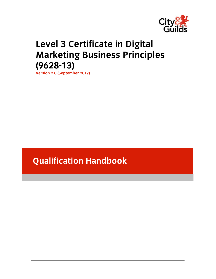

# **Level 3 Certificate in Digital Marketing Business Principles (9628-13)**

**Version 2.0 (September 2017)** 

# **Qualification Handbook**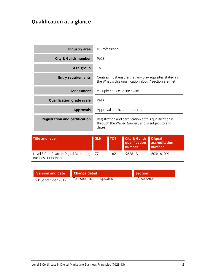## **Qualification at a glance**

| <b>Industry area</b>                  | <b>IT Professional</b>                                                                                                |
|---------------------------------------|-----------------------------------------------------------------------------------------------------------------------|
| <b>City &amp; Guilds number</b>       | 9628                                                                                                                  |
| Age group                             | $16+$                                                                                                                 |
| <b>Entry requirements</b>             | Centres must ensure that any pre-requisites stated in<br>the What is this qualification about? section are met.       |
| <b>Assessment</b>                     | Multiple-choice online exam                                                                                           |
| <b>Qualification grade scale</b>      | Pass                                                                                                                  |
| <b>Approvals</b>                      | Approval application required                                                                                         |
| <b>Registration and certification</b> | Registration and certification of this qualification is<br>through the Walled Garden, and is subject to end<br>dates. |

| Title and level                                                           | <b>GLH</b> | <b>І тот</b> | City & Guilds Ofqual<br>qualification accreditation<br>number | number     |
|---------------------------------------------------------------------------|------------|--------------|---------------------------------------------------------------|------------|
| Level 3 Certificate in Digital Marketing 77<br><b>Business Principles</b> |            | 162          | 9628-13                                                       | 603/1610/X |

| Version and date   | <b>Change detail</b>       | <b>Section</b> |
|--------------------|----------------------------|----------------|
| 2.0 September 2017 | Test specification updated | 4 Assessment   |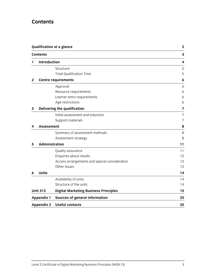## **Contents**

|              | <b>Qualification at a glance</b><br><b>Contents</b> |                                               | $\mathbf{2}$ |
|--------------|-----------------------------------------------------|-----------------------------------------------|--------------|
|              |                                                     |                                               | 3            |
| 1            | Introduction                                        |                                               | 4            |
|              |                                                     | Structure                                     | 5            |
|              |                                                     | <b>Total Qualification Time</b>               | 5            |
| $\mathbf{2}$ |                                                     | <b>Centre requirements</b>                    | 6            |
|              |                                                     | Approval                                      | 6            |
|              |                                                     | Resource requirements                         | 6            |
|              |                                                     | Learner entry requirements                    | 6            |
|              |                                                     | Age restrictions                              | 6            |
| 3            |                                                     | <b>Delivering the qualification</b>           | 7            |
|              |                                                     | Initial assessment and induction              | 7            |
|              |                                                     | Support materials                             | 7            |
| 4            | <b>Assessment</b>                                   |                                               | 8            |
|              |                                                     | Summary of assessment methods                 | 8            |
|              |                                                     | Assessment strategy                           | 8            |
| 5            | Administration                                      |                                               | 11           |
|              |                                                     | Quality assurance                             | 11           |
|              |                                                     | Enquiries about results                       | 12           |
|              |                                                     | Access arrangements and special consideration | 12           |
|              |                                                     | Other issues                                  | 13           |
| 6            | <b>Units</b>                                        |                                               | 14           |
|              |                                                     | Availability of units                         | 14           |
|              |                                                     | Structure of the units                        | 14           |
|              | <b>Unit 313</b>                                     | <b>Digital Marketing Business Principles</b>  | 15           |
|              | <b>Appendix 1</b>                                   | Sources of general information                | 23           |
|              | <b>Appendix 2</b>                                   | <b>Useful contacts</b>                        | 25           |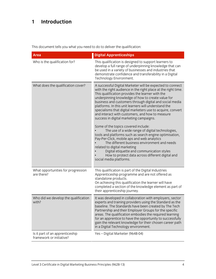## **1 Introduction**

This document tells you what you need to do to deliver the qualification:

| <b>Area</b>                                                 | <b>Digital Apprenticeships</b>                                                                                                                                                                                                                                                                                                                                                                                                                                                                                                                                                                                                                                                                                                                                                                                                                                                                                                       |
|-------------------------------------------------------------|--------------------------------------------------------------------------------------------------------------------------------------------------------------------------------------------------------------------------------------------------------------------------------------------------------------------------------------------------------------------------------------------------------------------------------------------------------------------------------------------------------------------------------------------------------------------------------------------------------------------------------------------------------------------------------------------------------------------------------------------------------------------------------------------------------------------------------------------------------------------------------------------------------------------------------------|
| Who is the qualification for?                               | This qualification is designed to support learners to<br>develop a full range of underpinning knowledge that can<br>be used in a variety of businesses and industries that<br>demonstrate confidence and transferability in a Digital<br>Technology Environment.                                                                                                                                                                                                                                                                                                                                                                                                                                                                                                                                                                                                                                                                     |
| What does the qualification cover?                          | A successful Digital Marketer will be expected to connect<br>with the right audience in the right place at the right time.<br>This qualification provides the learner with the<br>underpinning knowledge of how to create value for<br>business and customers through digital and social media<br>platforms. In this unit learners will understand the<br>specialisms that digital marketers use to acquire, convert<br>and interact with customers, and how to measure<br>success in digital marketing campaigns.<br>Some of the topics covered include:<br>The use of a wide range of digital technologies,<br>tools and platforms such as search engine optimisation,<br>Pay-Per-Click, mobile aps and web analytics<br>The different business environment and needs<br>related to digital marketing<br>Digital etiquette and communication styles<br>How to protect data across different digital and<br>social media platforms. |
| What opportunities for progression<br>are there?            | This qualification is part of the Digital Industries<br>Apprenticeship programme and are not offered as<br>standalone products.<br>On achieving this qualification the learner will have<br>completed a section of the knowledge element as part of<br>their apprenticeship journey.                                                                                                                                                                                                                                                                                                                                                                                                                                                                                                                                                                                                                                                 |
| Who did we develop the qualification<br>with?               | It was developed in collaboration with employers, sector<br>experts and training providers using the Standard as the<br>baseline. The Standards have been created by The Tech<br>Partnership and their Employer Groups for the specific<br>areas. The qualification embodies the required learning<br>for an apprentice to have the opportunity to successfully<br>gain the relevant knowledge for their chosen career path<br>in a Digital Technology environment.                                                                                                                                                                                                                                                                                                                                                                                                                                                                  |
| Is it part of an apprenticeship<br>framework or initiative? | Yes - Digital Marketer (9648-04)                                                                                                                                                                                                                                                                                                                                                                                                                                                                                                                                                                                                                                                                                                                                                                                                                                                                                                     |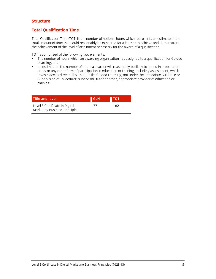#### **Structure**

#### **Total Qualification Time**

Total Qualification Time (TQT) is the number of notional hours which represents an estimate of the total amount of time that could reasonably be expected for a learner to achieve and demonstrate the achievement of the level of attainment necessary for the award of a qualification.

TQT is comprised of the following two elements:

- The number of hours which an awarding organisation has assigned to a qualification for Guided Learning, and
- an estimate of the number of hours a Learner will reasonably be likely to spend in preparation, study or any other form of participation in education or training, including assessment, which takes place as directed by - but, unlike Guided Learning, not under the Immediate Guidance or Supervision of - a lecturer, supervisor, tutor or other, appropriate provider of education or training.

| <b>Title and level</b>                                                 | <b>GLH</b> | <b>TOT</b> |  |
|------------------------------------------------------------------------|------------|------------|--|
| Level 3 Certificate in Digital<br><b>Marketing Business Principles</b> |            | 162        |  |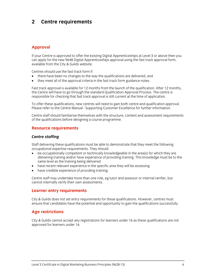## **2 Centre requirements**

#### **Approval**

If your Centre is approved to offer the existing Digital Apprenticeships at Level 3 or above then you can apply for the new 9648 Digital Apprenticeships approval using the fast track approval form, available from the City & Guilds website.

Centres should use the fast track form if:

- there have been no changes to the way the qualifications are delivered, and
- they meet all of the approval criteria in the fast track form guidance notes.

Fast track approval is available for 12 months from the launch of the qualification. After 12 months, the Centre will have to go through the standard Qualification Approval Process. The centre is responsible for checking that fast track approval is still current at the time of application.

To offer these qualifications, new centres will need to gain both centre and qualification approval. Please refer to the Centre Manual - Supporting Customer Excellence for further information.

Centre staff should familiarise themselves with the structure, content and assessment requirements of the qualifications before designing a course programme.

#### **Resource requirements**

#### *Centre staffing*

Staff delivering these qualifications must be able to demonstrate that they meet the following occupational expertise requirements. They should:

- be occupationally competent or technically knowledgeable in the area[s] for which they are delivering training and/or have experience of providing training. This knowledge must be to the same level as the training being delivered
- have recent relevant experience in the specific area they will be assessing
- have credible experience of providing training.

Centre staff may undertake more than one role, eg tutor and assessor or internal verifier, but cannot internally verify their own assessments.

#### **Learner entry requirements**

City & Guilds does not set entry requirements for these qualifications. However, centres must ensure that candidates have the potential and opportunity to gain the qualifications successfully.

#### **Age restrictions**

City & Guilds cannot accept any registrations for learners under 16 as these qualifications are not approved for learners under 16.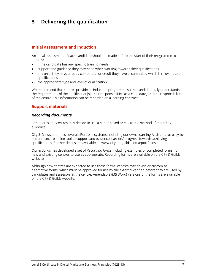## **3 Delivering the qualification**

#### **Initial assessment and induction**

An initial assessment of each candidate should be made before the start of their programme to identify:

- if the candidate has any specific training needs
- support and guidance they may need when working towards their qualifications
- any units they have already completed, or credit they have accumulated which is relevant to the qualifications
- the appropriate type and level of qualification.

We recommend that centres provide an induction programme so the candidate fully understands the requirements of the qualification[s], their responsibilities as a candidate, and the responsibilities of the centre. This information can be recorded on a learning contract.

#### **Support materials**

#### *Recording documents*

Candidates and centres may decide to use a paper-based or electronic method of recording evidence.

City & Guilds endorses several ePortfolio systems, including our own, Learning Assistant, an easy-touse and secure online tool to support and evidence learners' progress towards achieving qualifications. Further details are available at: www.cityandguilds.com/eportfolios.

City & Guilds has developed a set of *Recording forms* including examples of completed forms, for new and existing centres to use as appropriate. Recording forms are available on the City & Guilds website.

Although new centres are expected to use these forms, centres may devise or customise alternative forms, which must be approved for use by the external verifier, before they are used by candidates and assessors at the centre. Amendable (MS Word) versions of the forms are available on the City & Guilds website.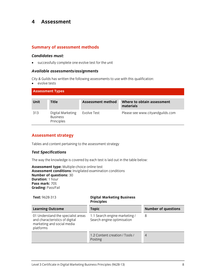### **4 Assessment**

#### **Summary of assessment methods**

#### *Candidates must:*

successfully complete one evolve test for the unit

#### *Available assessments/assignments*

City & Guilds has written the following assessments to use with this qualification:

• evolve tests

| <b>Assessment Types</b> |                                                    |                   |                                         |
|-------------------------|----------------------------------------------------|-------------------|-----------------------------------------|
| <b>Unit</b>             | <b>Title</b>                                       | Assessment method | Where to obtain assessment<br>materials |
| 313                     | Digital Marketing<br><b>Business</b><br>Principles | Evolve Test       | Please see www.cityandguilds.com        |

#### **Assessment strategy**

Tables and content pertaining to the assessment strategy

#### *Test Specifications*

The way the knowledge is covered by each test is laid out in the table below:

**Assessment type:** Multiple-choice online test **Assessment conditions:** Invigilated examination conditions **Number of questions:** 30 **Duration:** 1 hour **Pass mark:** 70% **Grading:** Pass/Fail

| Test: 9628-313                                                                                                  | <b>Digital Marketing Business</b><br><b>Principles</b>      |                            |
|-----------------------------------------------------------------------------------------------------------------|-------------------------------------------------------------|----------------------------|
| <b>Learning Outcome</b>                                                                                         | <b>Topic</b>                                                | <b>Number of questions</b> |
| 01 Understand the specialist areas<br>and characteristics of digital<br>marketing and social media<br>platforms | 1.1 Search engine marketing /<br>Search engine optimisation | 8                          |
|                                                                                                                 | 1.2 Content creation / Tools /<br>Posting                   | 4                          |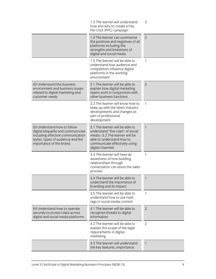| Per-Click (PPC) campaign                                                                                                                                                                 |                              |
|------------------------------------------------------------------------------------------------------------------------------------------------------------------------------------------|------------------------------|
| 1.4 The learner can summarise<br>the positives and negatives of all<br>platforms including the<br>strengths and limitations of<br>digital and social media                               | $\overline{2}$               |
| 1.5 The learner will be able to<br>understand how audience and<br>competition influence digital<br>platforms in the working<br>environment                                               | 1                            |
| 2.1 The learner will be able to<br>explain how digital marketing<br>teams work in conjunction with<br>other business functions                                                           | $\overline{2}$               |
| 2.2 The learner will know how to<br>keep up with the latest industry<br>developments and changes as<br>part of professional<br>development                                               | 1                            |
| 3.1 The learner will be able to<br>understand "the rules" of social<br>media / 3.2 The learner will be<br>able to understand how to<br>communicate effectively using<br>digital channels | $\mathbf{1}$                 |
| 3.3 The learner will have an<br>awareness of how building<br>relationships through<br>conversation can assist the sales<br>process                                                       | 1                            |
| 3.4 The learner will be able to<br>understand the importance of<br>branding and its impact.                                                                                              | 1                            |
| 3.5 The learner will be able to<br>understand how to use hash<br>tags in social media content                                                                                            | 1                            |
| 4.1 The learner will be able to<br>recognise threats to digital<br>information                                                                                                           | $\overline{2}$               |
| 4.2 The learner will be able to<br>explain the scope of the legal<br>requirements in digital<br>marketing                                                                                | 2                            |
| 4.3 The learner will understand<br>the key features, importance                                                                                                                          | $\mathbf{1}$                 |
|                                                                                                                                                                                          | how and why to create a Pay- |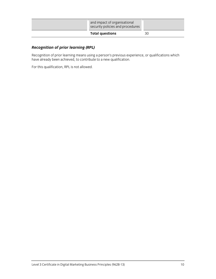| and impact of organisational<br>security policies and procedures |    |
|------------------------------------------------------------------|----|
| <b>Total questions</b>                                           | 30 |

### *Recognition of prior learning (RPL)*

Recognition of prior learning means using a person's previous experience, or qualifications which have already been achieved, to contribute to a new qualification.

For this qualification, RPL is not allowed.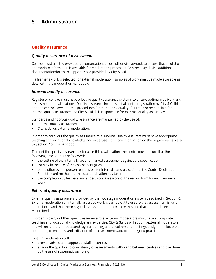## **5 Administration**

#### **Quality assurance**

#### *Quality assurance of assessments*

Centres must use the provided documentation, unless otherwise agreed, to ensure that all of the appropriate information is available for moderation processes. Centres may devise additional documentation/forms to support those provided by City & Guilds.

If a learner's work is selected for external moderation, samples of work must be made available as detailed in the moderation handbook.

#### *Internal quality assurance*

Registered centres must have effective quality assurance systems to ensure optimum delivery and assessment of qualifications. Quality assurance includes initial centre registration by City & Guilds and the centre's own internal procedures for monitoring quality. Centres are responsible for internal quality assurance and City & Guilds is responsible for external quality assurance.

Standards and rigorous quality assurance are maintained by the use of:

- internal quality assurance
- City & Guilds external moderation.

In order to carry out the quality assurance role, Internal Quality Assurers must have appropriate teaching and vocational knowledge and expertise. For more information on the requirements, refer to Section 2 of this handbook.

To meet the quality assurance criteria for this qualification, the centre must ensure that the following procedures are followed:

- the setting of the internally set and marked assessment against the specification
- training in the use of the assessment grids
- completion by the person responsible for internal standardisation of the Centre Declaration Sheet to confirm that internal standardisation has taken
- the completion by learners and supervisors/assessors of the record form for each learner's work.

#### *External quality assurance*

External quality assurance is provided by the two stage moderation system described in Section 6. External moderation of internally assessed work is carried out to ensure that assessment is valid and reliable, and that there is good assessment practice in centres and that standards are maintained.

In order to carry out their quality assurance role, external moderators must have appropriate teaching and vocational knowledge and expertise. City & Guilds will appoint external moderators and will ensure that they attend regular training and development meetings designed to keep them up to date, to ensure standardisation of all assessments and to share good practice.

External moderators will:

- provide advice and support to staff in centres
- ensure the quality and consistency of assessments within and between centres and over time by the use of systematic sampling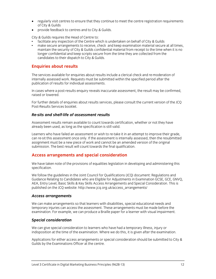- regularly visit centres to ensure that they continue to meet the centre registration requirements of City & Guilds
- provide feedback to centres and to City & Guilds.

City & Guilds requires the Head of Centre to:

- facilitate any inspection of the Centre which is undertaken on behalf of City & Guilds
- make secure arrangements to receive, check and keep examination material secure at all times, maintain the security of City & Guilds confidential material from receipt to the time when it is no longer confidential and keep scripts secure from the time they are collected from the candidates to their dispatch to City & Guilds.

#### **Enquiries about results**

The services available for enquiries about results include a clerical check and re-moderation of internally assessed work. Requests must be submitted within the specified period after the publication of results for individual assessments.

In cases where a post-results enquiry reveals inaccurate assessment, the result may be confirmed, raised or lowered.

For further details of enquiries about results services, please consult the current version of the JCQ Post-Results Services booklet.

#### *Re-sits and shelf-life of assessment results*

Assessment results remain available to count towards certification, whether or not they have already been used, as long as the specification is still valid.

Learners who have failed an assessment or wish to re-take it in an attempt to improve their grade, can re-sit this assessment once only. If the assessment is internally assessed, then the resubmitted assignment must be a new piece of work and cannot be an amended version of the original submission. The best result will count towards the final qualification.

#### **Access arrangements and special consideration**

We have taken note of the provisions of equalities legislation in developing and administering this specification.

We follow the guidelines in the Joint Council for Qualifications (JCQ) document: Regulations and Guidance Relating to Candidates who are Eligible for Adjustments in Examination GCSE, GCE, GNVQ, AEA, Entry Level, Basic Skills & Key Skills Access Arrangements and Special Consideration. This is published on the JCQ website: http://www.jcq.org.uk/access\_arrangements/

#### *Access arrangements*

We can make arrangements so that learners with disabilities, special educational needs and temporary injuries can access the assessment. These arrangements must be made before the examination. For example, we can produce a Braille paper for a learner with visual impairment.

#### *Special consideration*

We can give special consideration to learners who have had a temporary illness, injury or indisposition at the time of the examination. Where we do this, it is given after the examination.

Applications for either access arrangements or special consideration should be submitted to City & Guilds by the Examinations Officer at the centre.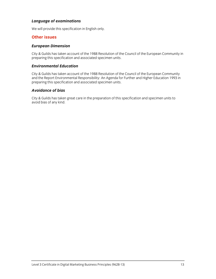#### *Language of examinations*

We will provide this specification in English only.

#### **Other issues**

#### *European Dimension*

City & Guilds has taken account of the 1988 Resolution of the Council of the European Community in preparing this specification and associated specimen units.

#### *Environmental Education*

City & Guilds has taken account of the 1988 Resolution of the Council of the European Community and the Report Environmental Responsibility: An Agenda for Further and Higher Education 1993 in preparing this specification and associated specimen units.

#### *Avoidance of bias*

City & Guilds has taken great care in the preparation of this specification and specimen units to avoid bias of any kind.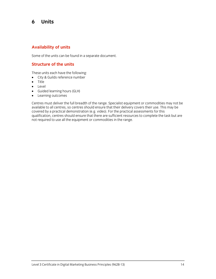## **6 Units**

#### **Availability of units**

Some of the units can be found in a separate document.

#### **Structure of the units**

These units each have the following:

- City & Guilds reference number
- Title
- Level
- Guided learning hours (GLH)
- Learning outcomes

Centres must deliver the full breadth of the range. Specialist equipment or commodities may not be available to all centres, so centres should ensure that their delivery covers their use. This may be covered by a practical demonstration (e.g. video). For the practical assessments for this qualification, centres should ensure that there are sufficient resources to complete the task but are not required to use all the equipment or commodities in the range.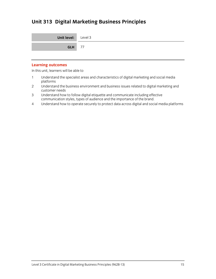## **Unit 313 Digital Marketing Business Principles**

| <b>Unit level:</b> Level 3 |  |
|----------------------------|--|
| <b>GLH</b> 77              |  |

#### **Learning outcomes**

In this unit, learners will be able to

- 1 Understand the specialist areas and characteristics of digital marketing and social media platforms
- 2 Understand the business environment and business issues related to digital marketing and customer needs
- 3 Understand how to follow digital etiquette and communicate including effective communication styles, types of audience and the importance of the brand.
- 4 Understand how to operate securely to protect data across digital and social media platforms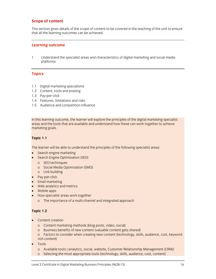#### **Scope of content**

This section gives details of the scope of content to be covered in the teaching of the unit to ensure that all the learning outcomes can be achieved.

#### **Learning outcome**

1 Understand the specialist areas and characteristics of digital marketing and social media platforms

#### **Topics**

- 1.1 Digital marketing specialisms
- 1.2 Content, tools and posting
- 1.3 Pay-per-click
- 1.4 Features, limitations and risks
- 1.5 Audience and competition influence

In this learning outcome, the learner will explore the principles of the digital marketing specialist areas and the tools that are available and understand how these can work together to achieve marketing goals.

#### **Topic 1.1**

The learner will be able to understand the principles of the following specialist areas:

- Search engine marketing
- Search Engine Optimisation (SEO)
	- o SEO techniques
	- o Social Media Optimisation (SMO)
	- o Link building
- Pay-per-click
- Email marketing
- Web analytics and metrics
- Mobile apps
- How specialist areas work together
	- o The importance of a multi-channel and integrated approach

#### **Topic 1.2**

- Content creation
	- o Content marketing methods (blog posts, video, social)
	- o Business benefits of new content (valuable content gets shared)
	- o Factors to consider when creating new content (technology, skills, audience, cost, keyword rich content)
- Tools
	- o Available tools ( analytics, social, website, Customer Relationship Management (CRM))
	- o Selecting the most appropriate tools (technology, skills, audience, cost, content)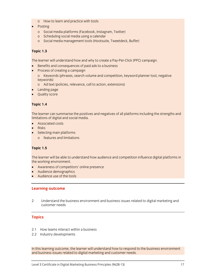- o How to learn and practice with tools
- Posting
	- o Social media platforms (Facebook, Instagram, Twitter)
	- o Scheduling social media using a calendar
	- o Social media management tools (Hootsuite, Tweetdeck, Buffer)

#### **Topic 1.3**

The learner will understand how and why to create a Pay-Per-Click (PPC) campaign.

- Benefits and consequences of paid ads to a business
- **Process of creating a campaign** 
	- o Keywords (phrases, search volume and competition, keyword planner tool, negative keywords)
	- o Ad text (policies, relevance, call to action, extensions)
- Landing page
- Quality score

#### **Topic 1.4**

The learner can summarise the positives and negatives of all platforms including the strengths and limitations of digital and social media.

- Associated costs
- Risks
- Selecting main platforms
	- o features and limitations

#### **Topic 1.5**

The learner will be able to understand how audience and competition influence digital platforms in the working environment.

- Awareness of competitors' online presence
- Audience demographics
- Audience use of the tools

#### **Learning outcome**

2 Understand the business environment and business issues related to digital marketing and customer needs

#### **Topics**

- 2.1 How teams interact within a business
- 2.2 Industry developments

In this learning outcome, the learner will understand how to respond to the business environment and business issues related to digital marketing and customer needs.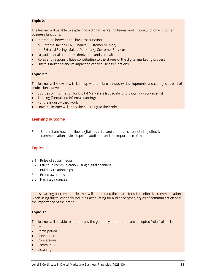#### **Topic 2.1**

The learner will be able to explain how digital marketing teams work in conjunction with other business functions.

- Interaction between the business functions
	- o Internal facing ( HR, Finance, Customer Service)
	- o External Facing ( Sales, Marketing, Customer Service)
- Organisational structures (horizontal and vertical)
- Roles and responsibilities contributing to the stages of the digital marketing process
- Digital Marketing and its impact on other business functions

#### **Topic 2.2**

The learner will know how to keep up with the latest industry developments and changes as part of professional development.

- Sources of information for Digital Marketers (subscribing to blogs, industry events)
- Training (formal and informal learning)
- For the Industry they work in.
- How the learner will apply their learning to their role.

#### **Learning outcome**

3 Understand how to follow digital etiquette and communicate including effective communication styles, types of audience and the importance of the brand.

#### **Topics**

- 3.1 Rules of social media
- 3.2 Effective communication using digital channels
- 3.3 Building relationships
- 3.4 Brand awareness
- 3.5 Hash tag nuances

In this learning outcome, the learner will understand the characteristic of effective communication when using digital channels including accounting for audience types, styles of communication and the importance of the brand.

#### **Topic 3.1**

The learner will be able to understand the generally understood and accepted 'rules' of social media.

- Participation
- Connection
- Conversions
- **Community**
- Listening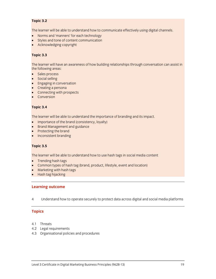#### **Topic 3.2**

The learner will be able to understand how to communicate effectively using digital channels.

- Norms and 'manners' for each technology
- Styles and tone of content communication
- Acknowledging copyright

#### **Topic 3.3**

The learner will have an awareness of how building relationships through conversation can assist in the following areas:

- Sales process
- **•** Social selling
- **•** Engaging in conversation
- Creating a persona
- Connecting with prospects
- Conversion

#### **Topic 3.4**

The learner will be able to understand the importance of branding and its impact.

- Importance of the brand (consistency, loyalty)
- Brand Management and guidance
- Protecting the brand
- Inconsistent branding

#### **Topic 3.5**

The learner will be able to understand how to use hash tags in social media content

- Trending hash tags
- Common types of hash tag (brand, product, lifestyle, event and location)
- Marketing with hash tags
- Hash tag hijacking

#### **Learning outcome**

4 Understand how to operate securely to protect data across digital and social media platforms

#### **Topics**

- 4.1 Threats
- 4.2 Legal requirements
- 4.3 Organisational policies and procedures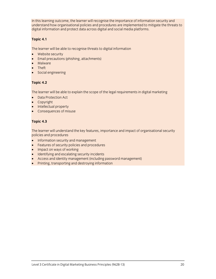In this learning outcome, the learner will recognise the importance of information security and understand how organisational policies and procedures are implemented to mitigate the threats to digital information and protect data across digital and social media platforms.

#### **Topic 4.1**

The learner will be able to recognise threats to digital information

- Website security
- Email precautions (phishing, attachments)
- Malware
- Theft
- Social engineering

#### **Topic 4.2**

The learner will be able to explain the scope of the legal requirements in digital marketing

- Data Protection Act
- Copyright
- Intellectual property
- Consequences of misuse

#### **Topic 4.3**

The learner will understand the key features, importance and impact of organisational security policies and procedures

- Information security and management
- Features of security policies and procedures
- Impact on ways of working
- Identifying and escalating security incidents
- Access and identity management (including password management)
- Printing, transporting and destroying information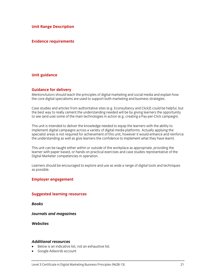**Unit Range Description** 

#### **Evidence requirements**

#### **Unit guidance**

#### **Guidance for delivery**

Mentors/tutors should teach the principles of digital marketing and social media and explain how the core digital specialisms are used to support both marketing and business strategies.

Case studies and articles from authoritative sites (e.g. Econsultancy and ClickZ) could be helpful, but the best way to really cement the understanding needed will be by giving learners the opportunity to see (and use) some of the main technologies in action (e.g. creating a Pay-per-Click campaign).

This unit is intended to deliver the knowledge needed to equip the learners with the ability to implement digital campaigns across a variety of digital media platforms. Actually applying the specialist areas is not required for achievement of this unit, however it would enhance and reinforce the understanding as well as give learners the confidence to implement what they have learnt.

This unit can be taught either within or outside of the workplace as appropriate, providing the learner with paper based, or hands on practical exercises and case studies representative of the Digital Marketer competencies in operation.

Learners should be encouraged to explore and use as wide a range of digital tools and techniques as possible.

#### **Employer engagement**

#### **Suggested learning resources**

*Books* 

*Journals and magazines* 

*Websites* 

#### *Additional resources*

- Below is an indicative list, not an exhaustive list.
- Google Adwords account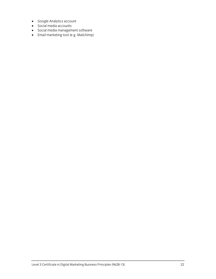- Google Analytics account
- Social media accounts
- Social media management software
- Email marketing tool (e.g. Mailchimp)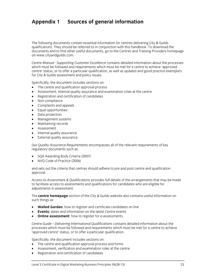## **Appendix 1 Sources of general information**

The following documents contain essential information for centres delivering City & Guilds qualifications. They should be referred to in conjunction with this handbook. To download the documents and to find other useful documents, go to the Centres and Training Providers homepage on www.cityandguilds.com.

*Centre Manual - Supporting Customer Excellence* contains detailed information about the processes which must be followed and requirements which must be met for a centre to achieve 'approved centre' status, or to offer a particular qualification, as well as updates and good practice exemplars for City & Guilds assessment and policy issues.

Specifically, the document includes sections on:

- The centre and qualification approval process
- Assessment, internal quality assurance and examination roles at the centre
- Registration and certification of candidates
- Non-compliance
- Complaints and appeals
- Equal opportunities
- Data protection
- Management systems
- Maintaining records
- Assessment
- Internal quality assurance
- External quality assurance.

*Our Quality Assurance Requirements* encompasses all of the relevant requirements of key regulatory documents such as:

- SQA Awarding Body Criteria (2007)
- NVQ Code of Practice (2006)

and sets out the criteria that centres should adhere to pre and post centre and qualification approval.

*Access to Assessment & Qualifications* provides full details of the arrangements that may be made to facilitate access to assessments and qualifications for candidates who are eligible for adjustments in assessment.

The **centre homepage** section of the City & Guilds website also contains useful information on such things as:

- **Walled Garden**: how to register and certificate candidates on line
- **Events:** dates and information on the latest Centre events
- **Online assessment:** how to register for e-assessments.

*Centre Guide – Delivering International Qualifications* contains detailed information about the processes which must be followed and requirements which must be met for a centre to achieve 'approved centre' status, or to offer a particular qualification.

Specifically, the document includes sections on:

- The centre and qualification approval process and forms
- Assessment, verification and examination roles at the centre
- Registration and certification of candidates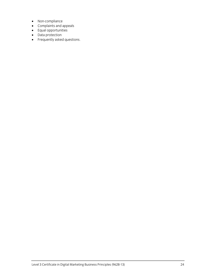- Non-compliance
- Complaints and appeals
- **•** Equal opportunities
- Data protection
- Frequently asked questions.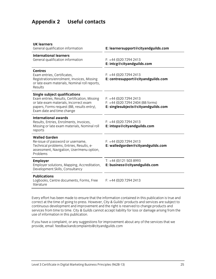## **Appendix 2 Useful contacts**

| <b>UK learners</b><br>General qualification information                                                                                                                                                    | E: learnersupport@cityandguilds.com                                                               |
|------------------------------------------------------------------------------------------------------------------------------------------------------------------------------------------------------------|---------------------------------------------------------------------------------------------------|
| <b>International learners</b><br>General qualification information                                                                                                                                         | $F: +44(0)2072942413$<br>E: intcg@cityandguilds.com                                               |
| <b>Centres</b><br>Exam entries, Certificates,<br>Registrations/enrolment, Invoices, Missing<br>or late exam materials, Nominal roll reports,<br>Results                                                    | $F: +44(0)2072942413$<br>E: centresupport@cityandguilds.com                                       |
| <b>Single subject qualifications</b><br>Exam entries, Results, Certification, Missing<br>or late exam materials, Incorrect exam<br>papers, Forms request (BB, results entry),<br>Exam date and time change | $F: +44(0)2072942413$<br>F: +44 (0)20 7294 2404 (BB forms)<br>E: singlesubjects@cityandguilds.com |
| <b>International awards</b><br>Results, Entries, Enrolments, Invoices,<br>Missing or late exam materials, Nominal roll<br>reports                                                                          | $F: +44(0)2072942413$<br>E: intops@cityandguilds.com                                              |
| <b>Walled Garden</b><br>Re-issue of password or username,<br>Technical problems, Entries, Results, e-<br>assessment, Navigation, User/menu option,<br>Problems                                             | $F: +44(0)2072942413$<br>E: walledgarden@cityandguilds.com                                        |
| <b>Employer</b><br>Employer solutions, Mapping, Accreditation,<br>Development Skills, Consultancy                                                                                                          | $T: +44(0)1215038993$<br>E: business@cityandguilds.com                                            |
| <b>Publications</b><br>Logbooks, Centre documents, Forms, Free<br>literature                                                                                                                               | $F: +44(0)2072942413$                                                                             |
|                                                                                                                                                                                                            |                                                                                                   |

Every effort has been made to ensure that the information contained in this publication is true and correct at the time of going to press. However, City & Guilds' products and services are subject to continuous development and improvement and the right is reserved to change products and services from time to time. City & Guilds cannot accept liability for loss or damage arising from the use of information in this publication.

If you have a complaint, or any suggestions for improvement about any of the services that we provide, email: feedbackandcomplaints@cityandguilds.com